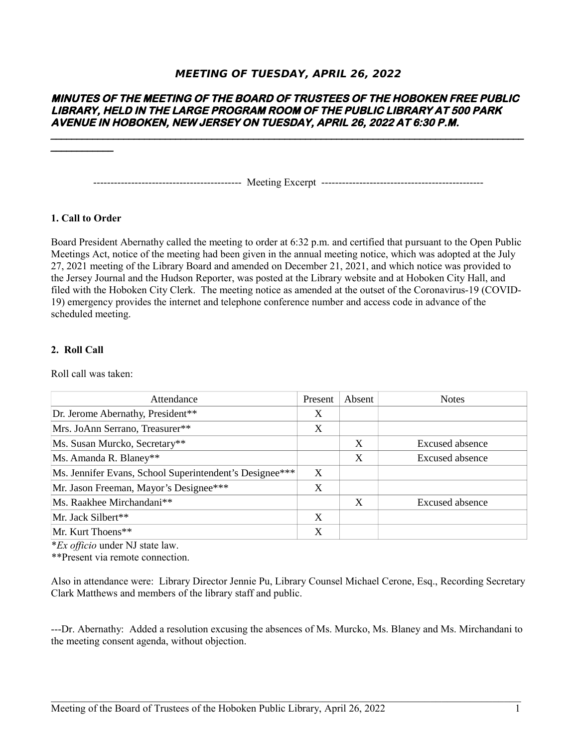# **MEETING OF TUESDAY, APRIL 26, 2022**

# **MINUTES OF THE MEETING OF THE BOARD OF TRUSTEES OF THE HOBOKEN FREE PUBLIC LIBRARY, HELD IN THE LARGE PROGRAM ROOM OF THE PUBLIC LIBRARY AT 500 PARK AVENUE IN HOBOKEN, NEW JERSEY ON TUESDAY, APRIL 26, 2022 AT 6:30 P.M.**

------------------------------------------- Meeting Excerpt -----------------------------------------------

## **1. Call to Order**

Board President Abernathy called the meeting to order at 6:32 p.m. and certified that pursuant to the Open Public Meetings Act, notice of the meeting had been given in the annual meeting notice, which was adopted at the July 27, 2021 meeting of the Library Board and amended on December 21, 2021, and which notice was provided to the Jersey Journal and the Hudson Reporter, was posted at the Library website and at Hoboken City Hall, and filed with the Hoboken City Clerk. The meeting notice as amended at the outset of the Coronavirus-19 (COVID-19) emergency provides the internet and telephone conference number and access code in advance of the scheduled meeting.

#### **2. Roll Call**

Roll call was taken:

| Attendance                                              |   | Absent | <b>Notes</b>           |
|---------------------------------------------------------|---|--------|------------------------|
| Dr. Jerome Abernathy, President**                       | X |        |                        |
| Mrs. JoAnn Serrano, Treasurer**                         | X |        |                        |
| Ms. Susan Murcko, Secretary**                           |   | X      | Excused absence        |
| Ms. Amanda R. Blaney**                                  |   | X      | Excused absence        |
| Ms. Jennifer Evans, School Superintendent's Designee*** | X |        |                        |
| Mr. Jason Freeman, Mayor's Designee***                  | X |        |                        |
| Ms. Raakhee Mirchandani**                               |   | X      | <b>Excused absence</b> |
| Mr. Jack Silbert**                                      | X |        |                        |
| Mr. Kurt Thoens**                                       | X |        |                        |

\**Ex officio* under NJ state law.

\*\*Present via remote connection.

Also in attendance were: Library Director Jennie Pu, Library Counsel Michael Cerone, Esq., Recording Secretary Clark Matthews and members of the library staff and public.

---Dr. Abernathy: Added a resolution excusing the absences of Ms. Murcko, Ms. Blaney and Ms. Mirchandani to the meeting consent agenda, without objection.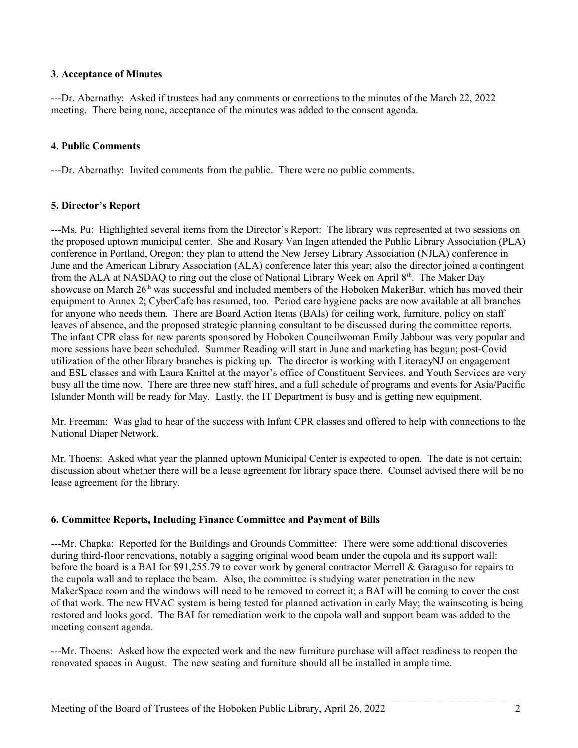## **3. Acceptance of Minutes**

---Dr. Abernathy: Asked if trustees had any comments or corrections to the minutes of the March 22, 2022 meeting. There being none, acceptance of the minutes was added to the consent agenda.

## **4. Public Comments**

---Dr. Abernathy: Invited comments from the public. There were no public comments.

## **5. Director's Report**

---Ms. Pu: Highlighted several items from the Director's Report: The library was represented at two sessions on the proposed uptown municipal center. She and Rosary Van Ingen attended the Public Library Association (PLA) conference in Portland, Oregon; they plan to attend the New Jersey Library Association (NJLA) conference in June and the American Library Association (ALA) conference later this year; also the director joined a contingent from the ALA at NASDAQ to ring out the close of National Library Week on April 8<sup>th</sup>. The Maker Day showcase on March  $26<sup>th</sup>$  was successful and included members of the Hoboken MakerBar, which has moved their equipment to Annex 2; CyberCafe has resumed, too. Period care hygiene packs are now available at all branches for anyone who needs them. There are Board Action Items (BAIs) for ceiling work, furniture, policy on staff leaves of absence, and the proposed strategic planning consultant to be discussed during the committee reports. The infant CPR class for new parents sponsored by Hoboken Councilwoman Emily Jabbour was very popular and more sessions have been scheduled. Summer Reading will start in June and marketing has begun; post-Covid utilization of the other library branches is picking up. The director is working with LiteracyNJ on engagement and ESL classes and with Laura Knittel at the mayor's office of Constituent Services, and Youth Services are very busy all the time now. There are three new staff hires, and a full schedule of programs and events for Asia/Pacific Islander Month will be ready for May. Lastly, the IT Department is busy and is getting new equipment.

Mr. Freeman: Was glad to hear of the success with Infant CPR classes and offered to help with connections to the National Diaper Network.

Mr. Thoens: Asked what year the planned uptown Municipal Center is expected to open. The date is not certain; discussion about whether there will be a lease agreement for library space there. Counsel advised there will be no lease agreement for the library.

#### **6. Committee Reports, Including Finance Committee and Payment of Bills**

---Mr. Chapka: Reported for the Buildings and Grounds Committee: There were some additional discoveries during third-floor renovations, notably a sagging original wood beam under the cupola and its support wall: before the board is a BAI for \$91,255.79 to cover work by general contractor Merrell & Garaguso for repairs to the cupola wall and to replace the beam. Also, the committee is studying water penetration in the new MakerSpace room and the windows will need to be removed to correct it; a BAI will be coming to cover the cost of that work. The new HVAC system is being tested for planned activation in early May; the wainscoting is being restored and looks good. The BAI for remediation work to the cupola wall and support beam was added to the meeting consent agenda.

---Mr. Thoens: Asked how the expected work and the new furniture purchase will affect readiness to reopen the renovated spaces in August. The new seating and furniture should all be installed in ample time.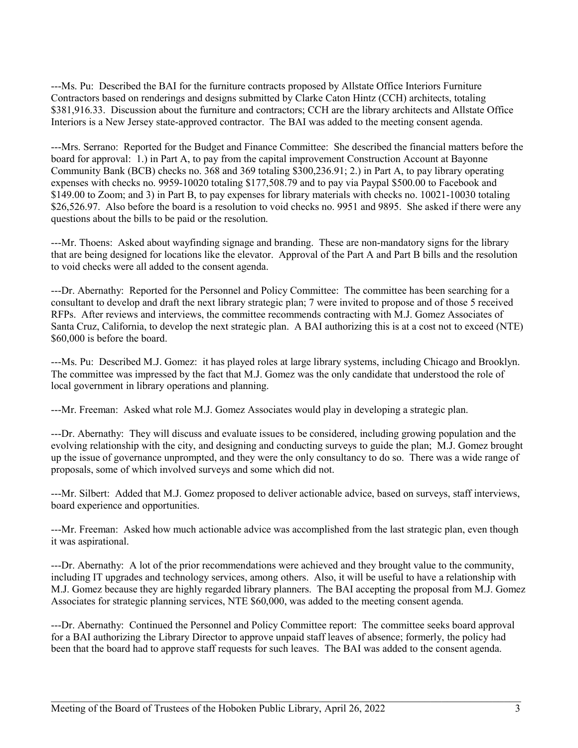---Ms. Pu: Described the BAI for the furniture contracts proposed by Allstate Office Interiors Furniture Contractors based on renderings and designs submitted by Clarke Caton Hintz (CCH) architects, totaling \$381,916.33. Discussion about the furniture and contractors; CCH are the library architects and Allstate Office Interiors is a New Jersey state-approved contractor. The BAI was added to the meeting consent agenda.

---Mrs. Serrano: Reported for the Budget and Finance Committee: She described the financial matters before the board for approval: 1.) in Part A, to pay from the capital improvement Construction Account at Bayonne Community Bank (BCB) checks no. 368 and 369 totaling \$300,236.91; 2.) in Part A, to pay library operating expenses with checks no. 9959-10020 totaling \$177,508.79 and to pay via Paypal \$500.00 to Facebook and \$149.00 to Zoom; and 3) in Part B, to pay expenses for library materials with checks no. 10021-10030 totaling \$26,526.97. Also before the board is a resolution to void checks no. 9951 and 9895. She asked if there were any questions about the bills to be paid or the resolution.

---Mr. Thoens: Asked about wayfinding signage and branding. These are non-mandatory signs for the library that are being designed for locations like the elevator. Approval of the Part A and Part B bills and the resolution to void checks were all added to the consent agenda.

---Dr. Abernathy: Reported for the Personnel and Policy Committee: The committee has been searching for a consultant to develop and draft the next library strategic plan; 7 were invited to propose and of those 5 received RFPs. After reviews and interviews, the committee recommends contracting with M.J. Gomez Associates of Santa Cruz, California, to develop the next strategic plan. A BAI authorizing this is at a cost not to exceed (NTE) \$60,000 is before the board.

---Ms. Pu: Described M.J. Gomez: it has played roles at large library systems, including Chicago and Brooklyn. The committee was impressed by the fact that M.J. Gomez was the only candidate that understood the role of local government in library operations and planning.

---Mr. Freeman: Asked what role M.J. Gomez Associates would play in developing a strategic plan.

---Dr. Abernathy: They will discuss and evaluate issues to be considered, including growing population and the evolving relationship with the city, and designing and conducting surveys to guide the plan; M.J. Gomez brought up the issue of governance unprompted, and they were the only consultancy to do so. There was a wide range of proposals, some of which involved surveys and some which did not.

---Mr. Silbert: Added that M.J. Gomez proposed to deliver actionable advice, based on surveys, staff interviews, board experience and opportunities.

---Mr. Freeman: Asked how much actionable advice was accomplished from the last strategic plan, even though it was aspirational.

---Dr. Abernathy: A lot of the prior recommendations were achieved and they brought value to the community, including IT upgrades and technology services, among others. Also, it will be useful to have a relationship with M.J. Gomez because they are highly regarded library planners. The BAI accepting the proposal from M.J. Gomez Associates for strategic planning services, NTE \$60,000, was added to the meeting consent agenda.

---Dr. Abernathy: Continued the Personnel and Policy Committee report: The committee seeks board approval for a BAI authorizing the Library Director to approve unpaid staff leaves of absence; formerly, the policy had been that the board had to approve staff requests for such leaves. The BAI was added to the consent agenda.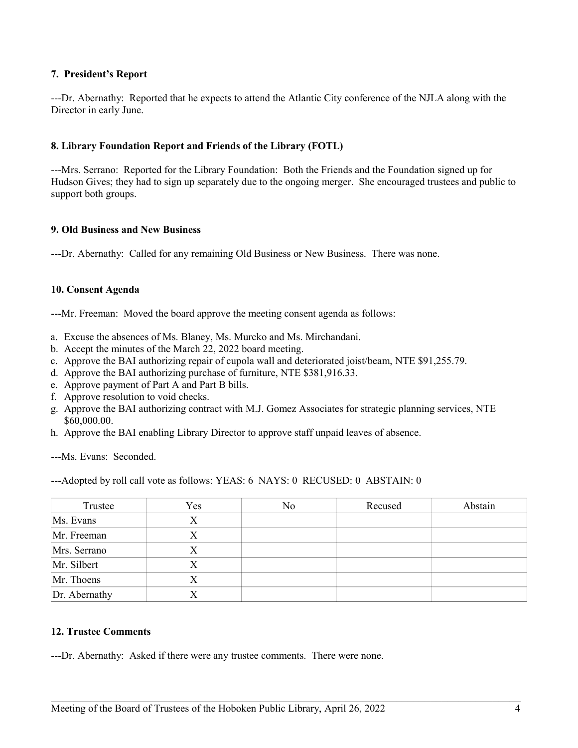## **7. President's Report**

---Dr. Abernathy: Reported that he expects to attend the Atlantic City conference of the NJLA along with the Director in early June.

## **8. Library Foundation Report and Friends of the Library (FOTL)**

---Mrs. Serrano: Reported for the Library Foundation: Both the Friends and the Foundation signed up for Hudson Gives; they had to sign up separately due to the ongoing merger. She encouraged trustees and public to support both groups.

#### **9. Old Business and New Business**

---Dr. Abernathy: Called for any remaining Old Business or New Business. There was none.

#### **10. Consent Agenda**

---Mr. Freeman: Moved the board approve the meeting consent agenda as follows:

- a. Excuse the absences of Ms. Blaney, Ms. Murcko and Ms. Mirchandani.
- b. Accept the minutes of the March 22, 2022 board meeting.
- c. Approve the BAI authorizing repair of cupola wall and deteriorated joist/beam, NTE \$91,255.79.
- d. Approve the BAI authorizing purchase of furniture, NTE \$381,916.33.
- e. Approve payment of Part A and Part B bills.
- f. Approve resolution to void checks.
- g. Approve the BAI authorizing contract with M.J. Gomez Associates for strategic planning services, NTE \$60,000.00.
- h. Approve the BAI enabling Library Director to approve staff unpaid leaves of absence.

---Ms. Evans: Seconded.

---Adopted by roll call vote as follows: YEAS: 6 NAYS: 0 RECUSED: 0 ABSTAIN: 0

| Trustee       | Yes | No | Recused | Abstain |
|---------------|-----|----|---------|---------|
| Ms. Evans     | Х   |    |         |         |
| Mr. Freeman   | X   |    |         |         |
| Mrs. Serrano  | X   |    |         |         |
| Mr. Silbert   | Х   |    |         |         |
| Mr. Thoens    | Χ   |    |         |         |
| Dr. Abernathy | X   |    |         |         |

 $\mathcal{L}_\mathcal{L} = \{ \mathcal{L}_\mathcal{L} = \{ \mathcal{L}_\mathcal{L} = \{ \mathcal{L}_\mathcal{L} = \{ \mathcal{L}_\mathcal{L} = \{ \mathcal{L}_\mathcal{L} = \{ \mathcal{L}_\mathcal{L} = \{ \mathcal{L}_\mathcal{L} = \{ \mathcal{L}_\mathcal{L} = \{ \mathcal{L}_\mathcal{L} = \{ \mathcal{L}_\mathcal{L} = \{ \mathcal{L}_\mathcal{L} = \{ \mathcal{L}_\mathcal{L} = \{ \mathcal{L}_\mathcal{L} = \{ \mathcal{L}_\mathcal{$ 

#### **12. Trustee Comments**

---Dr. Abernathy: Asked if there were any trustee comments. There were none.